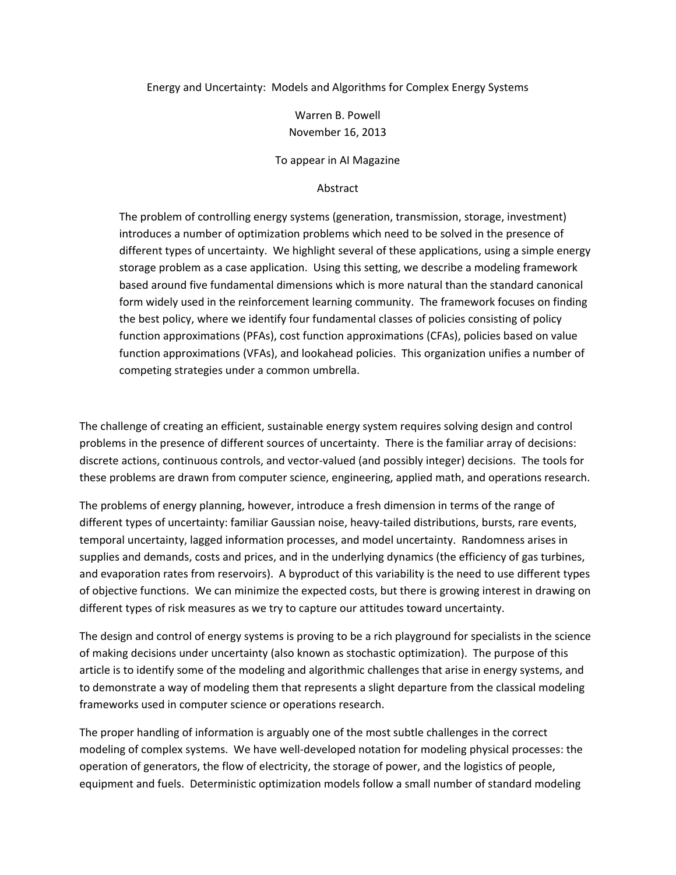Energy and Uncertainty: Models and Algorithms for Complex Energy Systems

Warren B. Powell November 16, 2013

To appear in AI Magazine

#### Abstract

The problem of controlling energy systems (generation, transmission, storage, investment) introduces a number of optimization problems which need to be solved in the presence of different types of uncertainty. We highlight several of these applications, using a simple energy storage problem as a case application. Using this setting, we describe a modeling framework based around five fundamental dimensions which is more natural than the standard canonical form widely used in the reinforcement learning community. The framework focuses on finding the best policy, where we identify four fundamental classes of policies consisting of policy function approximations (PFAs), cost function approximations (CFAs), policies based on value function approximations (VFAs), and lookahead policies. This organization unifies a number of competing strategies under a common umbrella.

The challenge of creating an efficient, sustainable energy system requires solving design and control problems in the presence of different sources of uncertainty. There is the familiar array of decisions: discrete actions, continuous controls, and vector‐valued (and possibly integer) decisions. The tools for these problems are drawn from computer science, engineering, applied math, and operations research.

The problems of energy planning, however, introduce a fresh dimension in terms of the range of different types of uncertainty: familiar Gaussian noise, heavy-tailed distributions, bursts, rare events, temporal uncertainty, lagged information processes, and model uncertainty. Randomness arises in supplies and demands, costs and prices, and in the underlying dynamics (the efficiency of gas turbines, and evaporation rates from reservoirs). A byproduct of this variability is the need to use different types of objective functions. We can minimize the expected costs, but there is growing interest in drawing on different types of risk measures as we try to capture our attitudes toward uncertainty.

The design and control of energy systems is proving to be a rich playground for specialists in the science of making decisions under uncertainty (also known as stochastic optimization). The purpose of this article is to identify some of the modeling and algorithmic challenges that arise in energy systems, and to demonstrate a way of modeling them that represents a slight departure from the classical modeling frameworks used in computer science or operations research.

The proper handling of information is arguably one of the most subtle challenges in the correct modeling of complex systems. We have well‐developed notation for modeling physical processes: the operation of generators, the flow of electricity, the storage of power, and the logistics of people, equipment and fuels. Deterministic optimization models follow a small number of standard modeling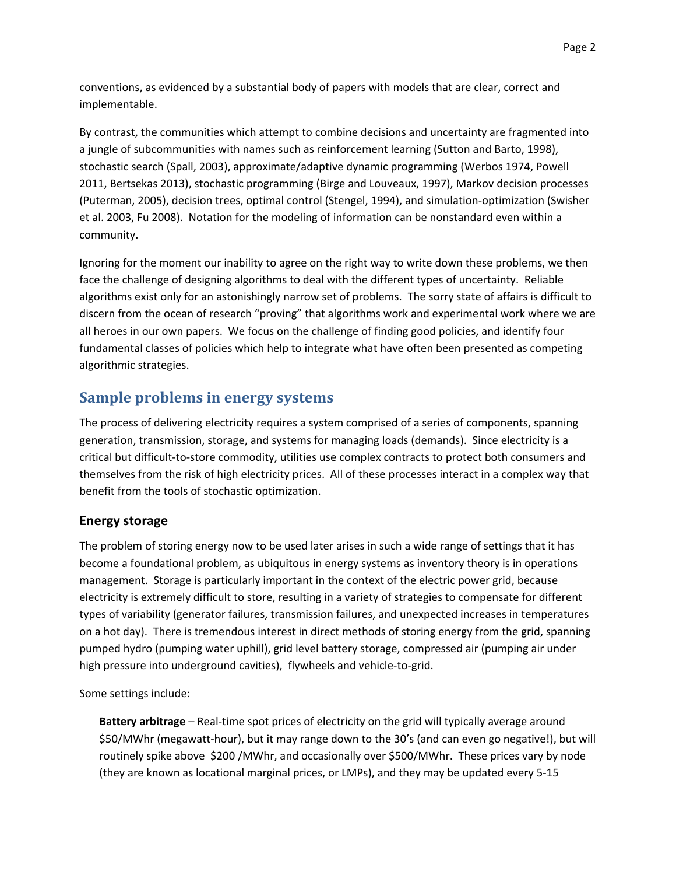conventions, as evidenced by a substantial body of papers with models that are clear, correct and implementable.

By contrast, the communities which attempt to combine decisions and uncertainty are fragmented into a jungle of subcommunities with names such as reinforcement learning (Sutton and Barto, 1998), stochastic search (Spall, 2003), approximate/adaptive dynamic programming (Werbos 1974, Powell 2011, Bertsekas 2013), stochastic programming (Birge and Louveaux, 1997), Markov decision processes (Puterman, 2005), decision trees, optimal control (Stengel, 1994), and simulation‐optimization (Swisher et al. 2003, Fu 2008). Notation for the modeling of information can be nonstandard even within a community.

Ignoring for the moment our inability to agree on the right way to write down these problems, we then face the challenge of designing algorithms to deal with the different types of uncertainty. Reliable algorithms exist only for an astonishingly narrow set of problems. The sorry state of affairs is difficult to discern from the ocean of research "proving" that algorithms work and experimental work where we are all heroes in our own papers. We focus on the challenge of finding good policies, and identify four fundamental classes of policies which help to integrate what have often been presented as competing algorithmic strategies.

# **Sample problems in energy systems**

The process of delivering electricity requires a system comprised of a series of components, spanning generation, transmission, storage, and systems for managing loads (demands). Since electricity is a critical but difficult‐to‐store commodity, utilities use complex contracts to protect both consumers and themselves from the risk of high electricity prices. All of these processes interact in a complex way that benefit from the tools of stochastic optimization.

### **Energy storage**

The problem of storing energy now to be used later arises in such a wide range of settings that it has become a foundational problem, as ubiquitous in energy systems as inventory theory is in operations management. Storage is particularly important in the context of the electric power grid, because electricity is extremely difficult to store, resulting in a variety of strategies to compensate for different types of variability (generator failures, transmission failures, and unexpected increases in temperatures on a hot day). There is tremendous interest in direct methods of storing energy from the grid, spanning pumped hydro (pumping water uphill), grid level battery storage, compressed air (pumping air under high pressure into underground cavities), flywheels and vehicle‐to‐grid.

Some settings include:

**Battery arbitrage** – Real‐time spot prices of electricity on the grid will typically average around \$50/MWhr (megawatt‐hour), but it may range down to the 30's (and can even go negative!), but will routinely spike above \$200 /MWhr, and occasionally over \$500/MWhr. These prices vary by node (they are known as locational marginal prices, or LMPs), and they may be updated every 5‐15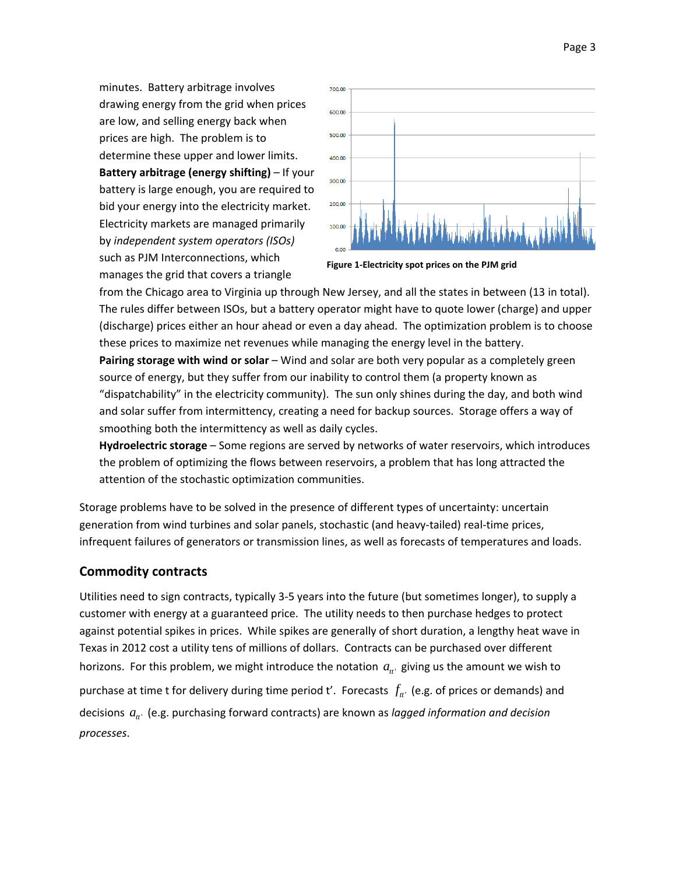minutes. Battery arbitrage involves drawing energy from the grid when prices are low, and selling energy back when prices are high. The problem is to determine these upper and lower limits. **Battery arbitrage (energy shifting)** – If your battery is large enough, you are required to bid your energy into the electricity market. Electricity markets are managed primarily by *independent system operators (ISOs)* such as PJM Interconnections, which manages the grid that covers a triangle



**Figure 1‐Electricity spot prices on the PJM grid**

from the Chicago area to Virginia up through New Jersey, and all the states in between (13 in total). The rules differ between ISOs, but a battery operator might have to quote lower (charge) and upper (discharge) prices either an hour ahead or even a day ahead. The optimization problem is to choose these prices to maximize net revenues while managing the energy level in the battery.

**Pairing storage with wind or solar** – Wind and solar are both very popular as a completely green source of energy, but they suffer from our inability to control them (a property known as "dispatchability" in the electricity community). The sun only shines during the day, and both wind and solar suffer from intermittency, creating a need for backup sources. Storage offers a way of smoothing both the intermittency as well as daily cycles.

**Hydroelectric storage** – Some regions are served by networks of water reservoirs, which introduces the problem of optimizing the flows between reservoirs, a problem that has long attracted the attention of the stochastic optimization communities.

Storage problems have to be solved in the presence of different types of uncertainty: uncertain generation from wind turbines and solar panels, stochastic (and heavy-tailed) real-time prices, infrequent failures of generators or transmission lines, as well as forecasts of temperatures and loads.

## **Commodity contracts**

Utilities need to sign contracts, typically 3‐5 years into the future (but sometimes longer), to supply a customer with energy at a guaranteed price. The utility needs to then purchase hedges to protect against potential spikes in prices. While spikes are generally of short duration, a lengthy heat wave in Texas in 2012 cost a utility tens of millions of dollars. Contracts can be purchased over different horizons. For this problem, we might introduce the notation  $a_{\mu}$  giving us the amount we wish to purchase at time t for delivery during time period t'. Forecasts  $f_{tt}$  (e.g. of prices or demands) and decisions *tt*' *a* (e.g. purchasing forward contracts) are known as *lagged information and decision processes*.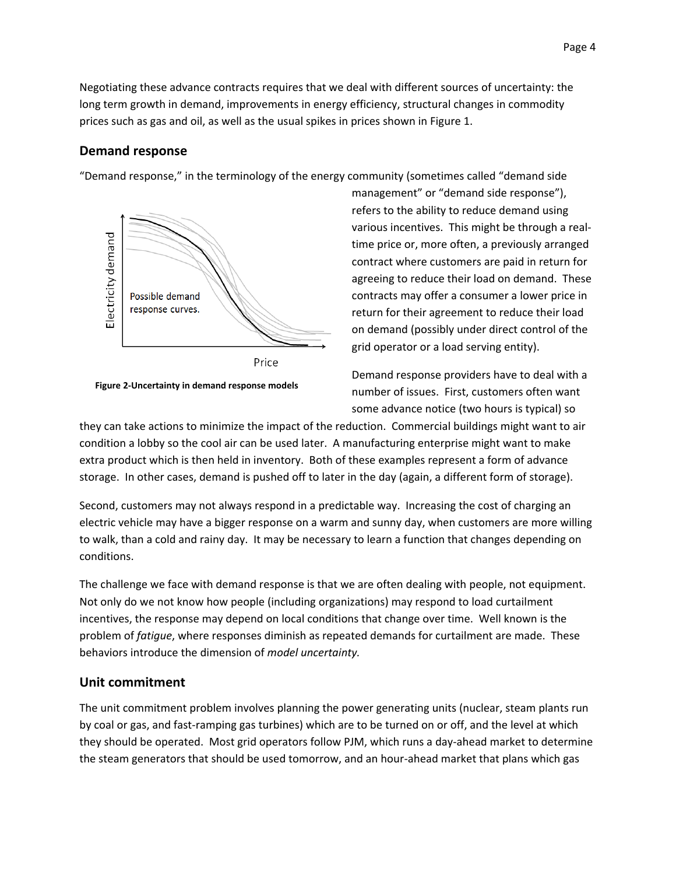Negotiating these advance contracts requires that we deal with different sources of uncertainty: the long term growth in demand, improvements in energy efficiency, structural changes in commodity prices such as gas and oil, as well as the usual spikes in prices shown in Figure 1.

### **Demand response**

"Demand response," in the terminology of the energy community (sometimes called "demand side



**Figure 2‐Uncertainty in demand response models**

management" or "demand side response"), refers to the ability to reduce demand using various incentives. This might be through a real‐ time price or, more often, a previously arranged contract where customers are paid in return for agreeing to reduce their load on demand. These contracts may offer a consumer a lower price in return for their agreement to reduce their load on demand (possibly under direct control of the grid operator or a load serving entity).

Demand response providers have to deal with a number of issues. First, customers often want some advance notice (two hours is typical) so

they can take actions to minimize the impact of the reduction. Commercial buildings might want to air condition a lobby so the cool air can be used later. A manufacturing enterprise might want to make extra product which is then held in inventory. Both of these examples represent a form of advance storage. In other cases, demand is pushed off to later in the day (again, a different form of storage).

Second, customers may not always respond in a predictable way. Increasing the cost of charging an electric vehicle may have a bigger response on a warm and sunny day, when customers are more willing to walk, than a cold and rainy day. It may be necessary to learn a function that changes depending on conditions.

The challenge we face with demand response is that we are often dealing with people, not equipment. Not only do we not know how people (including organizations) may respond to load curtailment incentives, the response may depend on local conditions that change over time. Well known is the problem of *fatigue*, where responses diminish as repeated demands for curtailment are made. These behaviors introduce the dimension of *model uncertainty.*

### **Unit commitment**

The unit commitment problem involves planning the power generating units (nuclear, steam plants run by coal or gas, and fast-ramping gas turbines) which are to be turned on or off, and the level at which they should be operated. Most grid operators follow PJM, which runs a day‐ahead market to determine the steam generators that should be used tomorrow, and an hour‐ahead market that plans which gas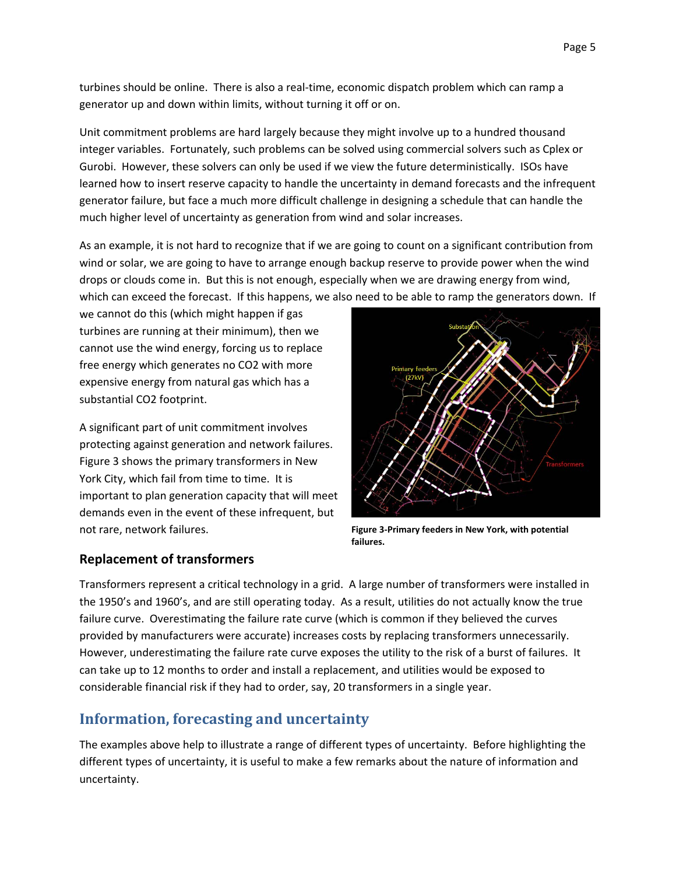turbines should be online. There is also a real‐time, economic dispatch problem which can ramp a generator up and down within limits, without turning it off or on.

Unit commitment problems are hard largely because they might involve up to a hundred thousand integer variables. Fortunately, such problems can be solved using commercial solvers such as Cplex or Gurobi. However, these solvers can only be used if we view the future deterministically. ISOs have learned how to insert reserve capacity to handle the uncertainty in demand forecasts and the infrequent generator failure, but face a much more difficult challenge in designing a schedule that can handle the much higher level of uncertainty as generation from wind and solar increases.

As an example, it is not hard to recognize that if we are going to count on a significant contribution from wind or solar, we are going to have to arrange enough backup reserve to provide power when the wind drops or clouds come in. But this is not enough, especially when we are drawing energy from wind, which can exceed the forecast. If this happens, we also need to be able to ramp the generators down. If

we cannot do this (which might happen if gas turbines are running at their minimum), then we cannot use the wind energy, forcing us to replace free energy which generates no CO2 with more expensive energy from natural gas which has a substantial CO2 footprint.

A significant part of unit commitment involves protecting against generation and network failures. Figure 3 shows the primary transformers in New York City, which fail from time to time. It is important to plan generation capacity that will meet demands even in the event of these infrequent, but not rare, network failures.



**Figure 3‐Primary feeders in New York, with potential failures.**

## **Replacement of transformers**

Transformers represent a critical technology in a grid. A large number of transformers were installed in the 1950's and 1960's, and are still operating today. As a result, utilities do not actually know the true failure curve. Overestimating the failure rate curve (which is common if they believed the curves provided by manufacturers were accurate) increases costs by replacing transformers unnecessarily. However, underestimating the failure rate curve exposes the utility to the risk of a burst of failures. It can take up to 12 months to order and install a replacement, and utilities would be exposed to considerable financial risk if they had to order, say, 20 transformers in a single year.

# **Information, forecasting and uncertainty**

The examples above help to illustrate a range of different types of uncertainty. Before highlighting the different types of uncertainty, it is useful to make a few remarks about the nature of information and uncertainty.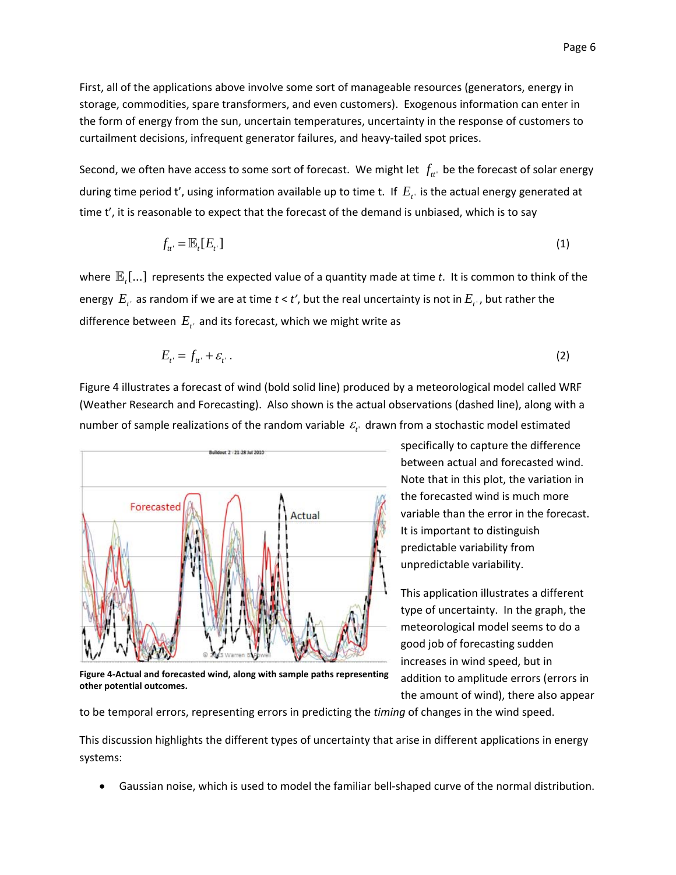First, all of the applications above involve some sort of manageable resources (generators, energy in storage, commodities, spare transformers, and even customers). Exogenous information can enter in the form of energy from the sun, uncertain temperatures, uncertainty in the response of customers to curtailment decisions, infrequent generator failures, and heavy-tailed spot prices.

Second, we often have access to some sort of forecast. We might let  $f_{tt}$  be the forecast of solar energy during time period t', using information available up to time t. If  $E_t$  is the actual energy generated at time t', it is reasonable to expect that the forecast of the demand is unbiased, which is to say

$$
f_{tt'} = \mathbb{E}_t[E_{t'}]
$$
 (1)

where  $\mathbb{E}$ ,[...] represents the expected value of a quantity made at time t. It is common to think of the energy  $E_{t'}$  as random if we are at time  $t < t'$ , but the real uncertainty is not in  $E_{t'}$ , but rather the difference between  $E_{t}$  and its forecast, which we might write as

$$
E_{t'} = f_{tt'} + \varepsilon_{t'} \,. \tag{2}
$$

Figure 4 illustrates a forecast of wind (bold solid line) produced by a meteorological model called WRF (Weather Research and Forecasting). Also shown is the actual observations (dashed line), along with a number of sample realizations of the random variable  $\varepsilon_{t'}$  drawn from a stochastic model estimated



**Figure 4‐Actual and forecasted wind, along with sample paths representing other potential outcomes.**

specifically to capture the difference between actual and forecasted wind. Note that in this plot, the variation in the forecasted wind is much more variable than the error in the forecast. It is important to distinguish predictable variability from unpredictable variability.

This application illustrates a different type of uncertainty. In the graph, the meteorological model seems to do a good job of forecasting sudden increases in wind speed, but in addition to amplitude errors (errors in the amount of wind), there also appear

to be temporal errors, representing errors in predicting the *timing* of changes in the wind speed.

This discussion highlights the different types of uncertainty that arise in different applications in energy systems:

Gaussian noise, which is used to model the familiar bell‐shaped curve of the normal distribution.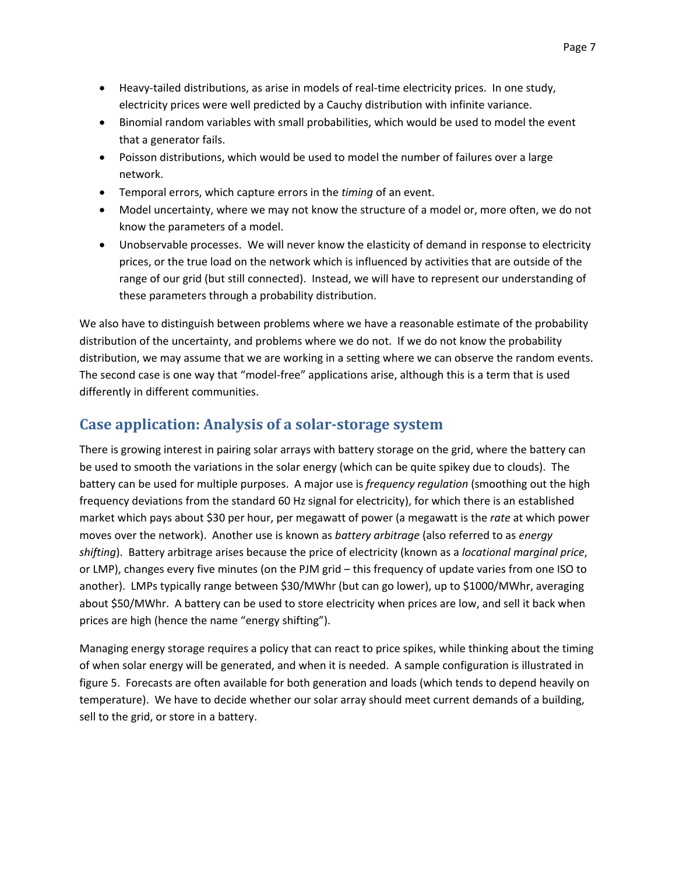- Heavy-tailed distributions, as arise in models of real-time electricity prices. In one study, electricity prices were well predicted by a Cauchy distribution with infinite variance.
- Binomial random variables with small probabilities, which would be used to model the event that a generator fails.
- Poisson distributions, which would be used to model the number of failures over a large network.
- Temporal errors, which capture errors in the *timing* of an event.
- Model uncertainty, where we may not know the structure of a model or, more often, we do not know the parameters of a model.
- Unobservable processes. We will never know the elasticity of demand in response to electricity prices, or the true load on the network which is influenced by activities that are outside of the range of our grid (but still connected). Instead, we will have to represent our understanding of these parameters through a probability distribution.

We also have to distinguish between problems where we have a reasonable estimate of the probability distribution of the uncertainty, and problems where we do not. If we do not know the probability distribution, we may assume that we are working in a setting where we can observe the random events. The second case is one way that "model‐free" applications arise, although this is a term that is used differently in different communities.

# **Case application: Analysis of a solar‐storage system**

There is growing interest in pairing solar arrays with battery storage on the grid, where the battery can be used to smooth the variations in the solar energy (which can be quite spikey due to clouds). The battery can be used for multiple purposes. A major use is *frequency regulation* (smoothing out the high frequency deviations from the standard 60 Hz signal for electricity), for which there is an established market which pays about \$30 per hour, per megawatt of power (a megawatt is the *rate* at which power moves over the network). Another use is known as *battery arbitrage* (also referred to as *energy shifting*). Battery arbitrage arises because the price of electricity (known as a *locational marginal price*, or LMP), changes every five minutes (on the PJM grid – this frequency of update varies from one ISO to another). LMPs typically range between \$30/MWhr (but can go lower), up to \$1000/MWhr, averaging about \$50/MWhr. A battery can be used to store electricity when prices are low, and sell it back when prices are high (hence the name "energy shifting").

Managing energy storage requires a policy that can react to price spikes, while thinking about the timing of when solar energy will be generated, and when it is needed. A sample configuration is illustrated in figure 5. Forecasts are often available for both generation and loads (which tends to depend heavily on temperature). We have to decide whether our solar array should meet current demands of a building, sell to the grid, or store in a battery.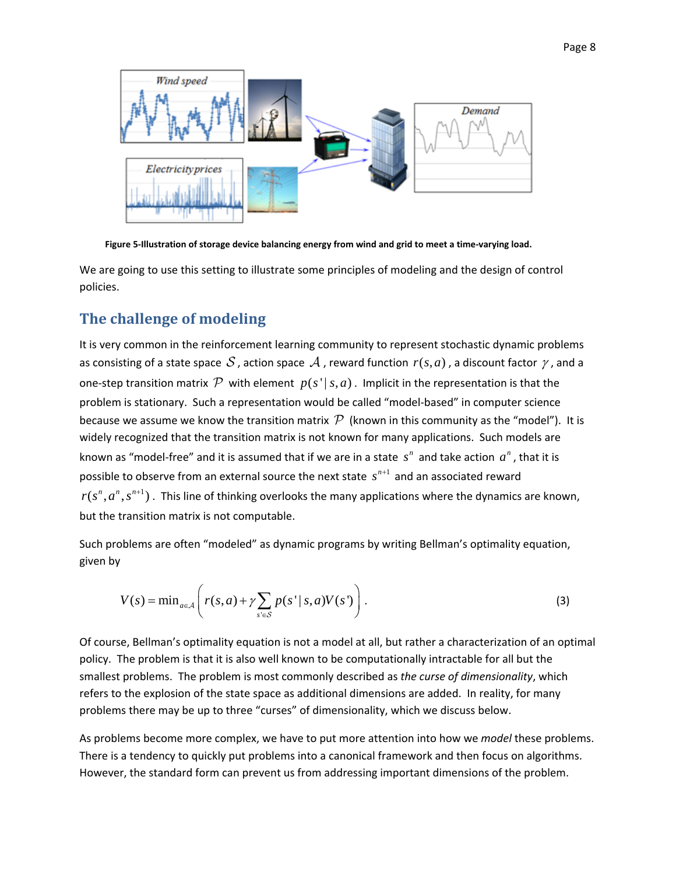

Figure 5-Illustration of storage device balancing energy from wind and grid to meet a time-varying load.

We are going to use this setting to illustrate some principles of modeling and the design of control policies.

## **The challenge of modeling**

It is very common in the reinforcement learning community to represent stochastic dynamic problems as consisting of a state space S, action space A, reward function  $r(s, a)$ , a discount factor  $\gamma$ , and a one-step transition matrix  $\mathcal P$  with element  $p(s' | s, a)$ . Implicit in the representation is that the problem is stationary. Such a representation would be called "model‐based" in computer science because we assume we know the transition matrix  $\mathcal P$  (known in this community as the "model"). It is widely recognized that the transition matrix is not known for many applications. Such models are known as "model-free" and it is assumed that if we are in a state  $s<sup>n</sup>$  and take action  $a<sup>n</sup>$ , that it is possible to observe from an external source the next state  $s^{n+1}$  and an associated reward  $r(s^n, a^n, s^{n+1})$ . This line of thinking overlooks the many applications where the dynamics are known, but the transition matrix is not computable.

Such problems are often "modeled" as dynamic programs by writing Bellman's optimality equation, given by

$$
V(s) = \min_{a \in \mathcal{A}} \left( r(s, a) + \gamma \sum_{s' \in \mathcal{S}} p(s' \mid s, a) V(s') \right). \tag{3}
$$

Of course, Bellman's optimality equation is not a model at all, but rather a characterization of an optimal policy. The problem is that it is also well known to be computationally intractable for all but the smallest problems. The problem is most commonly described as *the curse of dimensionality*, which refers to the explosion of the state space as additional dimensions are added. In reality, for many problems there may be up to three "curses" of dimensionality, which we discuss below.

As problems become more complex, we have to put more attention into how we *model* these problems. There is a tendency to quickly put problems into a canonical framework and then focus on algorithms. However, the standard form can prevent us from addressing important dimensions of the problem.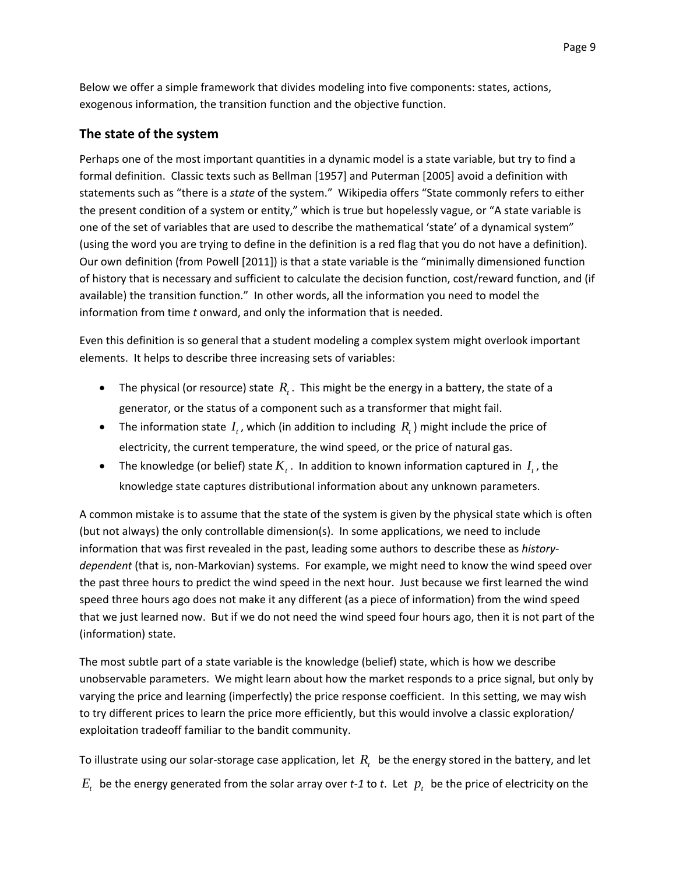Below we offer a simple framework that divides modeling into five components: states, actions, exogenous information, the transition function and the objective function.

## **The state of the system**

Perhaps one of the most important quantities in a dynamic model is a state variable, but try to find a formal definition. Classic texts such as Bellman [1957] and Puterman [2005] avoid a definition with statements such as "there is a *state* of the system." Wikipedia offers "State commonly refers to either the present condition of a system or entity," which is true but hopelessly vague, or "A state variable is one of the set of variables that are used to describe the mathematical 'state' of a dynamical system" (using the word you are trying to define in the definition is a red flag that you do not have a definition). Our own definition (from Powell [2011]) is that a state variable is the "minimally dimensioned function of history that is necessary and sufficient to calculate the decision function, cost/reward function, and (if available) the transition function." In other words, all the information you need to model the information from time *t* onward, and only the information that is needed.

Even this definition is so general that a student modeling a complex system might overlook important elements. It helps to describe three increasing sets of variables:

- The physical (or resource) state  $R_t$ . This might be the energy in a battery, the state of a generator, or the status of a component such as a transformer that might fail.
- The information state  $I_t$ , which (in addition to including  $R_t$ ) might include the price of electricity, the current temperature, the wind speed, or the price of natural gas.
- The knowledge (or belief) state  $K_t$ . In addition to known information captured in  $I_t$ , the knowledge state captures distributional information about any unknown parameters.

A common mistake is to assume that the state of the system is given by the physical state which is often (but not always) the only controllable dimension(s). In some applications, we need to include information that was first revealed in the past, leading some authors to describe these as *history‐ dependent* (that is, non‐Markovian) systems. For example, we might need to know the wind speed over the past three hours to predict the wind speed in the next hour. Just because we first learned the wind speed three hours ago does not make it any different (as a piece of information) from the wind speed that we just learned now. But if we do not need the wind speed four hours ago, then it is not part of the (information) state.

The most subtle part of a state variable is the knowledge (belief) state, which is how we describe unobservable parameters. We might learn about how the market responds to a price signal, but only by varying the price and learning (imperfectly) the price response coefficient. In this setting, we may wish to try different prices to learn the price more efficiently, but this would involve a classic exploration/ exploitation tradeoff familiar to the bandit community.

To illustrate using our solar-storage case application, let  $R<sub>i</sub>$  be the energy stored in the battery, and let  $E_t$  be the energy generated from the solar array over *t*-1 to *t*. Let  $p_t$  be the price of electricity on the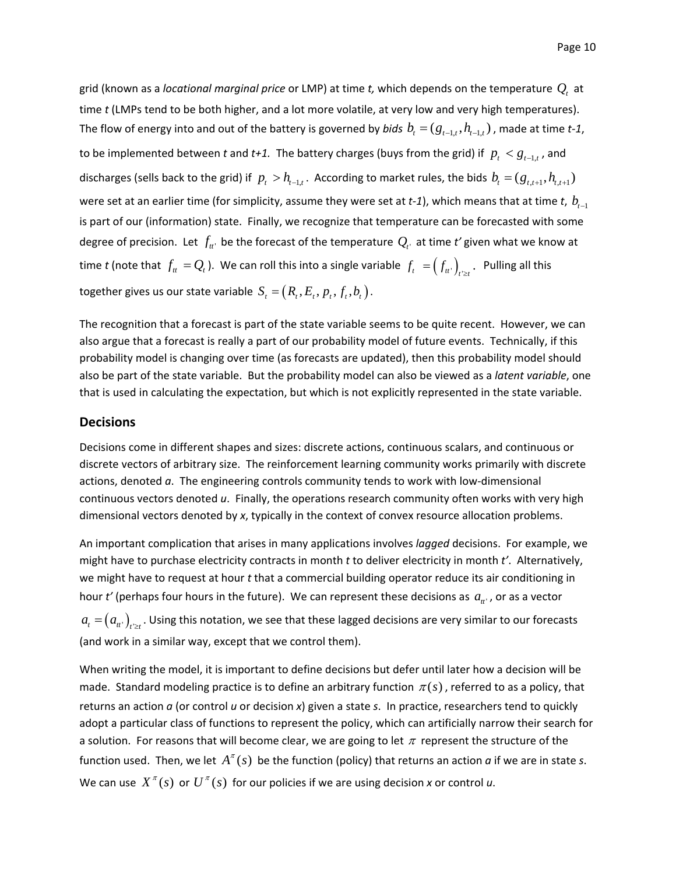grid (known as a *locational marginal price* or LMP) at time *t*, which depends on the temperature  $Q<sub>i</sub>$  at time *t* (LMPs tend to be both higher, and a lot more volatile, at very low and very high temperatures). The flow of energy into and out of the battery is governed by *bids*  $b_t = (g_{t-t}, h_{t-t})$ , made at time *t*-1, to be implemented between *t* and *t+1*. The battery charges (buys from the grid) if  $p_t < g_{t-1,t}$ , and discharges (sells back to the grid) if  $p_t > h_{t-1,t}$ . According to market rules, the bids  $b_t = (g_{t,t+1}, h_{t,t+1})$ were set at an earlier time (for simplicity, assume they were set at  $t$ -1), which means that at time  $t, b_{t-1}$ is part of our (information) state. Finally, we recognize that temperature can be forecasted with some degree of precision. Let  $f_{tt'}$  be the forecast of the temperature  $Q_{t'}$  at time  $t'$  given what we know at time *t* (note that  $f_t = Q_t$ ). We can roll this into a single variable  $f_t = (f_{tt})_{t \ge t}$ . Pulling all this together gives us our state variable  $S_t = (R_t, E_t, p_t, f_t, b_t)$ .

The recognition that a forecast is part of the state variable seems to be quite recent. However, we can also argue that a forecast is really a part of our probability model of future events. Technically, if this probability model is changing over time (as forecasts are updated), then this probability model should also be part of the state variable. But the probability model can also be viewed as a *latent variable*, one that is used in calculating the expectation, but which is not explicitly represented in the state variable.

#### **Decisions**

Decisions come in different shapes and sizes: discrete actions, continuous scalars, and continuous or discrete vectors of arbitrary size. The reinforcement learning community works primarily with discrete actions, denoted  $a$ . The engineering controls community tends to work with low-dimensional continuous vectors denoted *u*. Finally, the operations research community often works with very high dimensional vectors denoted by *x*, typically in the context of convex resource allocation problems.

An important complication that arises in many applications involves *lagged* decisions. For example, we might have to purchase electricity contracts in month *t* to deliver electricity in month *t'*. Alternatively, we might have to request at hour *t* that a commercial building operator reduce its air conditioning in hour *t'* (perhaps four hours in the future). We can represent these decisions as  $a_{tt}$ , or as a vector  $a_{_t}\!=\!\left(a_{_{tt'}}\right)_{_{t\geq t}}.$  Using this notation, we see that these lagged decisions are very similar to our forecasts (and work in a similar way, except that we control them).

When writing the model, it is important to define decisions but defer until later how a decision will be made. Standard modeling practice is to define an arbitrary function  $\pi(s)$ , referred to as a policy, that returns an action *a* (or control *u* or decision *x*) given a state *s*. In practice, researchers tend to quickly adopt a particular class of functions to represent the policy, which can artificially narrow their search for a solution. For reasons that will become clear, we are going to let  $\pi$  represent the structure of the function used. Then, we let  $A^{\pi}(s)$  be the function (policy) that returns an action *a* if we are in state *s*. We can use  $X^{\pi}(s)$  or  $U^{\pi}(s)$  for our policies if we are using decision *x* or control *u*.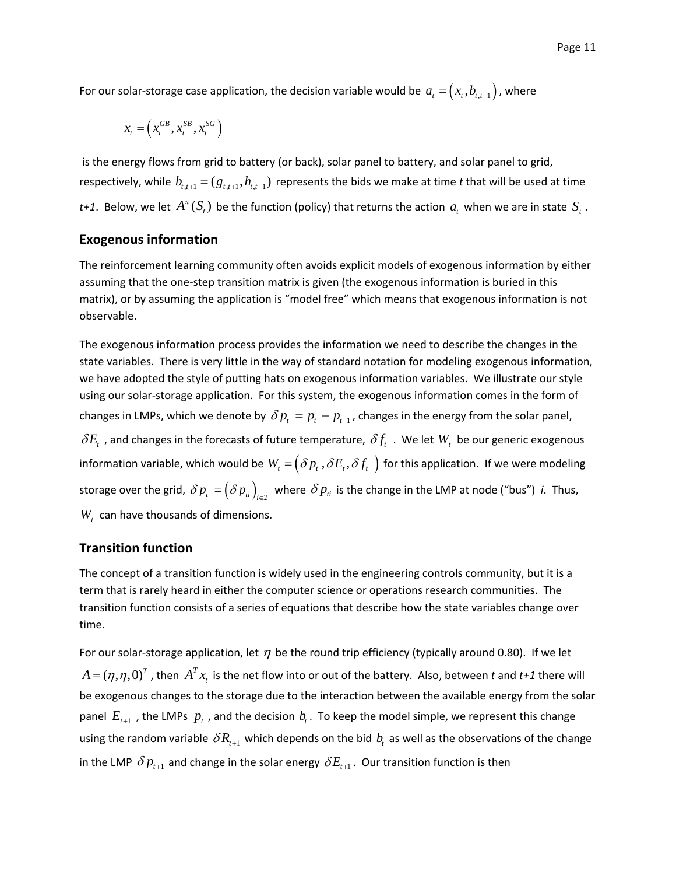For our solar-storage case application, the decision variable would be  $a_t = (x_t, b_{t,t+1})$ , where

$$
x_t = \left(x_t^{GB}, x_t^{SB}, x_t^{SG}\right)
$$

is the energy flows from grid to battery (or back), solar panel to battery, and solar panel to grid, respectively, while  $b_{t,t+1} = (g_{t,t+1}, h_{t,t+1})$  represents the bids we make at time *t* that will be used at time *t+1*. Below, we let  $A^{\pi}(S_t)$  be the function (policy) that returns the action  $a_t$  when we are in state  $S_t$ .

#### **Exogenous information**

The reinforcement learning community often avoids explicit models of exogenous information by either assuming that the one‐step transition matrix is given (the exogenous information is buried in this matrix), or by assuming the application is "model free" which means that exogenous information is not observable.

The exogenous information process provides the information we need to describe the changes in the state variables. There is very little in the way of standard notation for modeling exogenous information, we have adopted the style of putting hats on exogenous information variables. We illustrate our style using our solar‐storage application. For this system, the exogenous information comes in the form of changes in LMPs, which we denote by  $\delta p_t = p_t - p_{t-1}$ , changes in the energy from the solar panel,  $\delta E_t$  , and changes in the forecasts of future temperature,  $\delta f_t$  . We let  $W_t$  be our generic exogenous information variable, which would be  $W_t = \left(\delta p_t, \delta E_t, \delta f_t\right)$  for this application. If we were modeling storage over the grid,  $\delta p_{_t}$  =  $(\delta p_{_t} )_{_{t\in\mathcal{I}}}$  where  $\delta p_{_t}$  is the change in the LMP at node ("bus") *i*. Thus,  $W_t$  can have thousands of dimensions.

### **Transition function**

The concept of a transition function is widely used in the engineering controls community, but it is a term that is rarely heard in either the computer science or operations research communities. The transition function consists of a series of equations that describe how the state variables change over time.

For our solar-storage application, let  $\eta$  be the round trip efficiency (typically around 0.80). If we let  $A = (\eta, \eta, 0)^T$ , then  $A^T x_t$  is the net flow into or out of the battery. Also, between *t* and *t+1* there will be exogenous changes to the storage due to the interaction between the available energy from the solar panel  $E_{t+1}$ , the LMPs  $p_t$ , and the decision  $b_t$ . To keep the model simple, we represent this change using the random variable  $\delta R_{t+1}$  which depends on the bid  $b_t$  as well as the observations of the change in the LMP  $\delta p_{t+1}$  and change in the solar energy  $\delta E_{t+1}$ . Our transition function is then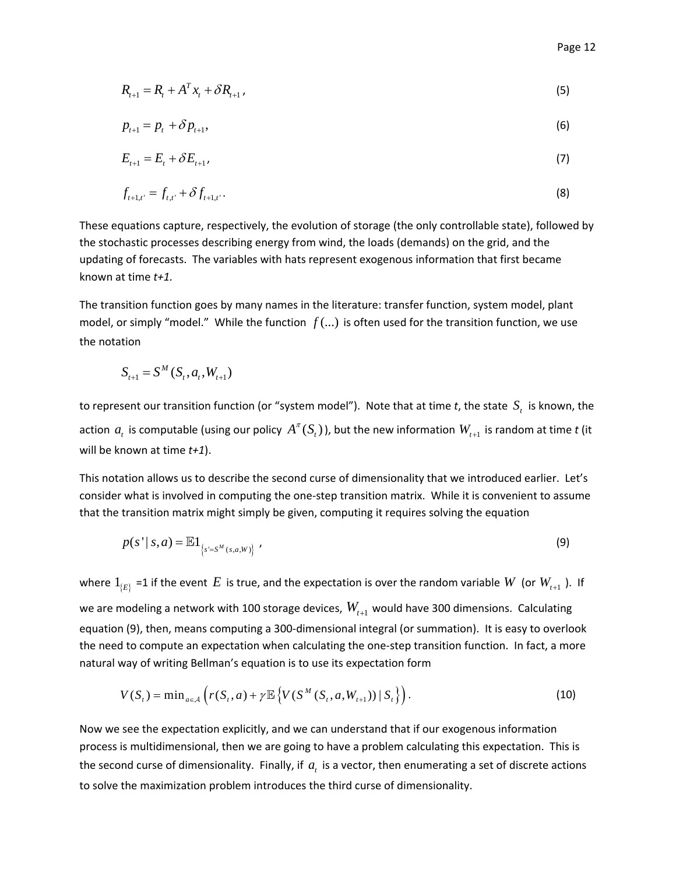$$
R_{t+1} = R_t + A^T x_t + \delta R_{t+1},
$$
\n(5)

$$
p_{t+1} = p_t + \delta p_{t+1},\tag{6}
$$

$$
E_{t+1} = E_t + \delta E_{t+1},\tag{7}
$$

$$
f_{t+1,t'} = f_{t,t'} + \delta f_{t+1,t'}.
$$
\n(8)

These equations capture, respectively, the evolution of storage (the only controllable state), followed by the stochastic processes describing energy from wind, the loads (demands) on the grid, and the updating of forecasts. The variables with hats represent exogenous information that first became known at time *t+1.*

The transition function goes by many names in the literature: transfer function, system model, plant model, or simply "model." While the function *f* (...) is often used for the transition function, we use the notation

$$
S_{t+1} = S^M(S_t, a_t, W_{t+1})
$$

to represent our transition function (or "system model"). Note that at time *t*, the state  $S_t$  is known, the action  $a_t$  is computable (using our policy  $A^{\pi}(S_t)$ ), but the new information  $W_{t+1}$  is random at time *t* (it will be known at time *t+1*).

This notation allows us to describe the second curse of dimensionality that we introduced earlier. Let's consider what is involved in computing the one‐step transition matrix. While it is convenient to assume that the transition matrix might simply be given, computing it requires solving the equation

$$
p(s' | s, a) = \mathbb{E}1_{\{s' = S^M(s, a, W)\}} \tag{9}
$$

where  $1_{E}$  =1 if the event *E* is true, and the expectation is over the random variable *W* (or  $W_{t+1}$ ). If we are modeling a network with 100 storage devices,  $W_{t+1}$  would have 300 dimensions. Calculating equation (9), then, means computing a 300‐dimensional integral (or summation). It is easy to overlook the need to compute an expectation when calculating the one‐step transition function. In fact, a more natural way of writing Bellman's equation is to use its expectation form

$$
V(S_t) = \min_{a \in A} \left( r(S_t, a) + \gamma \mathbb{E} \left\{ V(S^M(S_t, a, W_{t+1})) | S_t \right\} \right). \tag{10}
$$

Now we see the expectation explicitly, and we can understand that if our exogenous information process is multidimensional, then we are going to have a problem calculating this expectation. This is the second curse of dimensionality. Finally, if  $a_t$  is a vector, then enumerating a set of discrete actions to solve the maximization problem introduces the third curse of dimensionality.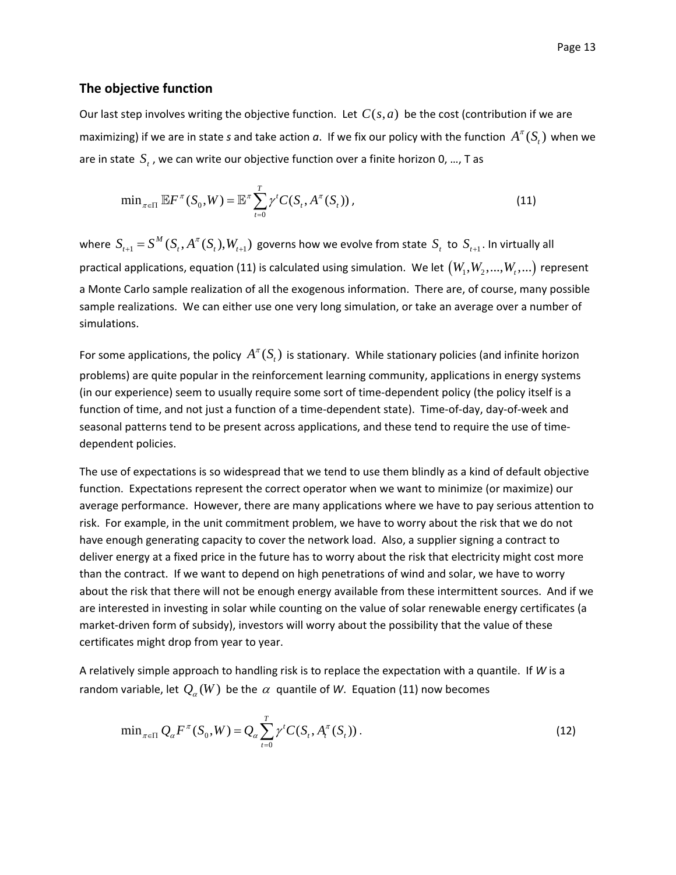#### **The objective function**

Our last step involves writing the objective function. Let  $C(s, a)$  be the cost (contribution if we are maximizing) if we are in state *s* and take action *a*. If we fix our policy with the function  $A^{\pi}(S)$ , when we are in state  $S_t$ , we can write our objective function over a finite horizon 0, ..., T as

$$
\min_{\pi \in \Pi} \mathbb{E} F^{\pi}(S_0, W) = \mathbb{E}^{\pi} \sum_{t=0}^{T} \gamma^t C(S_t, A^{\pi}(S_t)), \qquad (11)
$$

where  $S_{t+1} = S^M(S_t, A^{\pi}(S_t), W_{t+1})$  governs how we evolve from state  $S_t$  to  $S_{t+1}$ . In virtually all practical applications, equation (11) is calculated using simulation. We let  $(W_1, W_2, ..., W_t, ...)$  represent a Monte Carlo sample realization of all the exogenous information. There are, of course, many possible sample realizations. We can either use one very long simulation, or take an average over a number of simulations.

For some applications, the policy  $A^{\pi}(S_t)$  is stationary. While stationary policies (and infinite horizon problems) are quite popular in the reinforcement learning community, applications in energy systems (in our experience) seem to usually require some sort of time‐dependent policy (the policy itself is a function of time, and not just a function of a time‐dependent state). Time‐of‐day, day‐of‐week and seasonal patterns tend to be present across applications, and these tend to require the use of time‐ dependent policies.

The use of expectations is so widespread that we tend to use them blindly as a kind of default objective function. Expectations represent the correct operator when we want to minimize (or maximize) our average performance. However, there are many applications where we have to pay serious attention to risk. For example, in the unit commitment problem, we have to worry about the risk that we do not have enough generating capacity to cover the network load. Also, a supplier signing a contract to deliver energy at a fixed price in the future has to worry about the risk that electricity might cost more than the contract. If we want to depend on high penetrations of wind and solar, we have to worry about the risk that there will not be enough energy available from these intermittent sources. And if we are interested in investing in solar while counting on the value of solar renewable energy certificates (a market-driven form of subsidy), investors will worry about the possibility that the value of these certificates might drop from year to year.

A relatively simple approach to handling risk is to replace the expectation with a quantile. If *W* is a random variable, let  $Q_{\alpha}(W)$  be the  $\alpha$  quantile of W. Equation (11) now becomes

$$
\min_{\pi \in \Pi} Q_{\alpha} F^{\pi}(S_0, W) = Q_{\alpha} \sum_{t=0}^{T} \gamma^{t} C(S_t, A_t^{\pi}(S_t)).
$$
\n(12)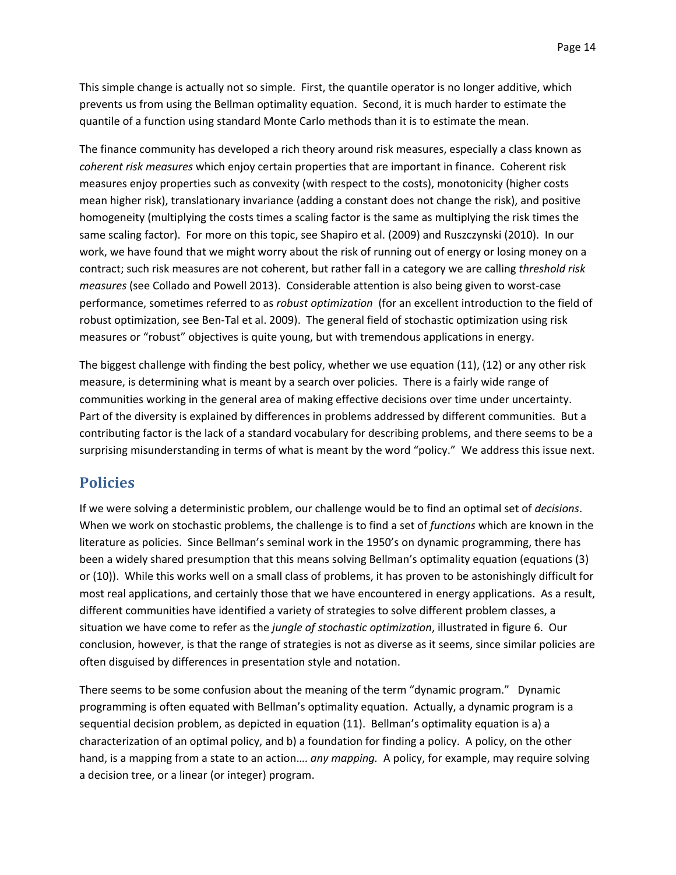This simple change is actually not so simple. First, the quantile operator is no longer additive, which prevents us from using the Bellman optimality equation. Second, it is much harder to estimate the quantile of a function using standard Monte Carlo methods than it is to estimate the mean.

The finance community has developed a rich theory around risk measures, especially a class known as *coherent risk measures* which enjoy certain properties that are important in finance. Coherent risk measures enjoy properties such as convexity (with respect to the costs), monotonicity (higher costs mean higher risk), translationary invariance (adding a constant does not change the risk), and positive homogeneity (multiplying the costs times a scaling factor is the same as multiplying the risk times the same scaling factor). For more on this topic, see Shapiro et al. (2009) and Ruszczynski (2010). In our work, we have found that we might worry about the risk of running out of energy or losing money on a contract; such risk measures are not coherent, but rather fall in a category we are calling *threshold risk measures* (see Collado and Powell 2013). Considerable attention is also being given to worst‐case performance, sometimes referred to as *robust optimization* (for an excellent introduction to the field of robust optimization, see Ben‐Tal et al. 2009). The general field of stochastic optimization using risk measures or "robust" objectives is quite young, but with tremendous applications in energy.

The biggest challenge with finding the best policy, whether we use equation (11), (12) or any other risk measure, is determining what is meant by a search over policies. There is a fairly wide range of communities working in the general area of making effective decisions over time under uncertainty. Part of the diversity is explained by differences in problems addressed by different communities. But a contributing factor is the lack of a standard vocabulary for describing problems, and there seems to be a surprising misunderstanding in terms of what is meant by the word "policy." We address this issue next.

# **Policies**

If we were solving a deterministic problem, our challenge would be to find an optimal set of *decisions*. When we work on stochastic problems, the challenge is to find a set of *functions* which are known in the literature as policies. Since Bellman's seminal work in the 1950's on dynamic programming, there has been a widely shared presumption that this means solving Bellman's optimality equation (equations (3) or (10)). While this works well on a small class of problems, it has proven to be astonishingly difficult for most real applications, and certainly those that we have encountered in energy applications. As a result, different communities have identified a variety of strategies to solve different problem classes, a situation we have come to refer as the *jungle of stochastic optimization*, illustrated in figure 6. Our conclusion, however, is that the range of strategies is not as diverse as it seems, since similar policies are often disguised by differences in presentation style and notation.

There seems to be some confusion about the meaning of the term "dynamic program." Dynamic programming is often equated with Bellman's optimality equation. Actually, a dynamic program is a sequential decision problem, as depicted in equation (11). Bellman's optimality equation is a) a characterization of an optimal policy, and b) a foundation for finding a policy. A policy, on the other hand, is a mapping from a state to an action…. *any mapping.* A policy, for example, may require solving a decision tree, or a linear (or integer) program.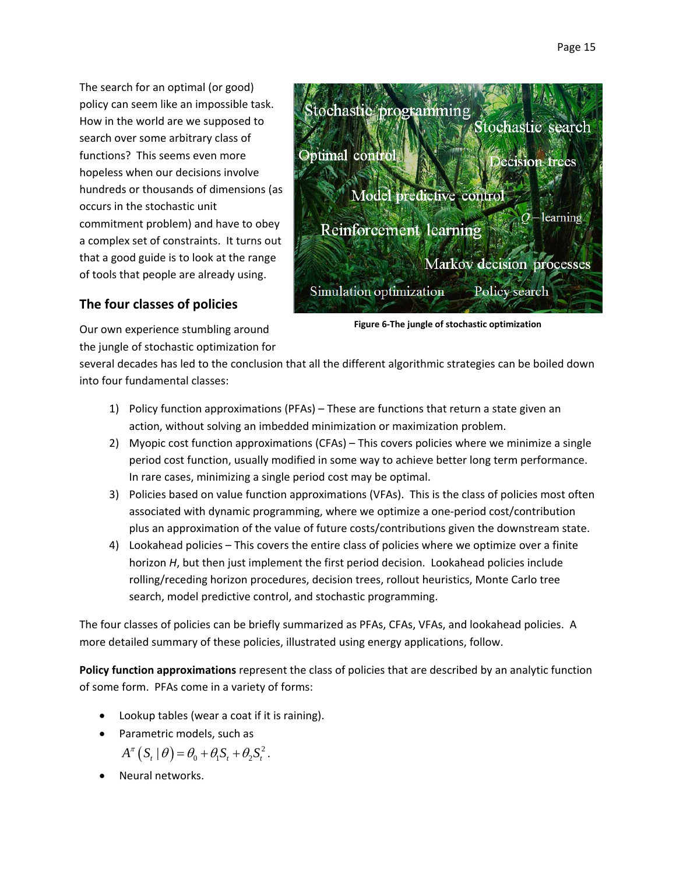The search for an optimal (or good) policy can seem like an impossible task. How in the world are we supposed to search over some arbitrary class of functions? This seems even more hopeless when our decisions involve hundreds or thousands of dimensions (as occurs in the stochastic unit commitment problem) and have to obey a complex set of constraints. It turns out that a good guide is to look at the range of tools that people are already using.



# **The four classes of policies**

**Figure 6‐The jungle of stochastic optimization**

Our own experience stumbling around the jungle of stochastic optimization for

several decades has led to the conclusion that all the different algorithmic strategies can be boiled down into four fundamental classes:

- 1) Policy function approximations (PFAs) These are functions that return a state given an action, without solving an imbedded minimization or maximization problem.
- 2) Myopic cost function approximations (CFAs) This covers policies where we minimize a single period cost function, usually modified in some way to achieve better long term performance. In rare cases, minimizing a single period cost may be optimal.
- 3) Policies based on value function approximations (VFAs). This is the class of policies most often associated with dynamic programming, where we optimize a one‐period cost/contribution plus an approximation of the value of future costs/contributions given the downstream state.
- 4) Lookahead policies This covers the entire class of policies where we optimize over a finite horizon *H*, but then just implement the first period decision. Lookahead policies include rolling/receding horizon procedures, decision trees, rollout heuristics, Monte Carlo tree search, model predictive control, and stochastic programming.

The four classes of policies can be briefly summarized as PFAs, CFAs, VFAs, and lookahead policies. A more detailed summary of these policies, illustrated using energy applications, follow.

**Policy function approximations** represent the class of policies that are described by an analytic function of some form. PFAs come in a variety of forms:

- Lookup tables (wear a coat if it is raining).
- Parametric models, such as
	- $A^{\pi}\left(S_{t} | \theta\right) = \theta_{0} + \theta_{1} S_{t} + \theta_{2} S_{t}^{2}.$
- Neural networks.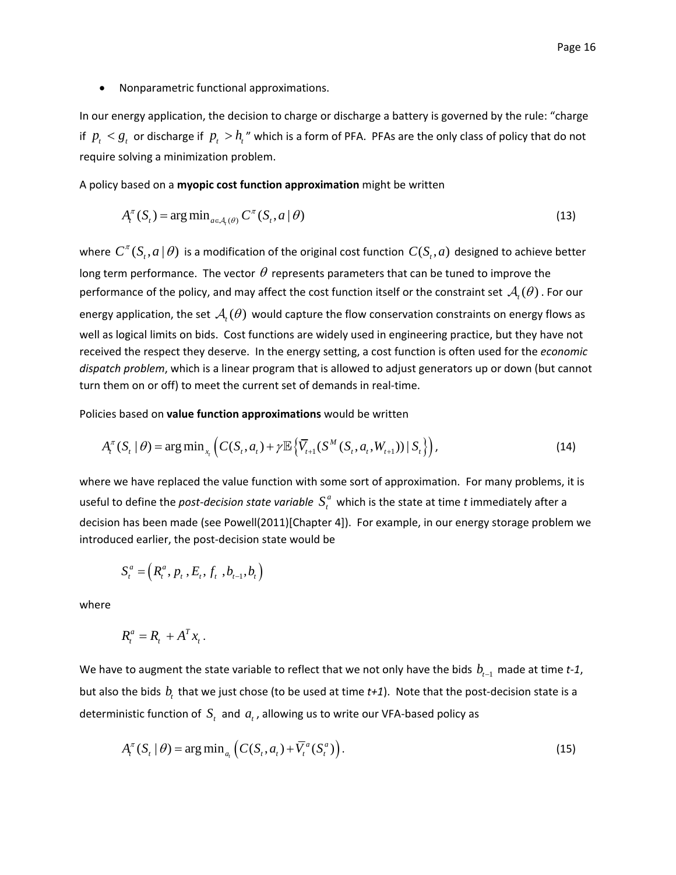Nonparametric functional approximations.

In our energy application, the decision to charge or discharge a battery is governed by the rule: "charge if  $p_t < g_t$  or discharge if  $p_t > h_t$ " which is a form of PFA. PFAs are the only class of policy that do not require solving a minimization problem.

A policy based on a **myopic cost function approximation** might be written

$$
A_t^{\pi}(S_t) = \arg\min_{a \in A_t(\theta)} C^{\pi}(S_t, a \mid \theta)
$$
\n(13)

where  $C^{\pi}(S_t, a | \theta)$  is a modification of the original cost function  $C(S_t, a)$  designed to achieve better long term performance. The vector  $\theta$  represents parameters that can be tuned to improve the performance of the policy, and may affect the cost function itself or the constraint set  $\mathcal{A}_{i}(\theta)$ . For our energy application, the set  $A_t(\theta)$  would capture the flow conservation constraints on energy flows as well as logical limits on bids. Cost functions are widely used in engineering practice, but they have not received the respect they deserve. In the energy setting, a cost function is often used for the *economic dispatch problem*, which is a linear program that is allowed to adjust generators up or down (but cannot turn them on or off) to meet the current set of demands in real-time.

Policies based on **value function approximations** would be written

$$
A_t^{\pi}(S_t | \theta) = \arg \min_{x_t} \left( C(S_t, a_t) + \gamma \mathbb{E} \left\{ \overline{V}_{t+1}(S^M(S_t, a_t, W_{t+1})) | S_t \right\} \right), \tag{14}
$$

where we have replaced the value function with some sort of approximation. For many problems, it is useful to define the *post-decision state variable*  $S_t^a$  which is the state at time *t* immediately after a decision has been made (see Powell(2011)[Chapter 4]). For example, in our energy storage problem we introduced earlier, the post‐decision state would be

$$
S_t^a = (R_t^a, p_t, E_t, f_t, b_{t-1}, b_t)
$$

where

$$
R_t^a = R_t + A^T x_t.
$$

We have to augment the state variable to reflect that we not only have the bids  $b_{t-1}$  made at time *t*-1, but also the bids  $b<sub>t</sub>$  that we just chose (to be used at time  $t+1$ ). Note that the post-decision state is a deterministic function of  $S_t$  and  $a_t$ , allowing us to write our VFA-based policy as

$$
A_t^{\pi}(S_t | \theta) = \arg \min_{a_t} \left( C(S_t, a_t) + \overline{V}_t^a(S_t^a) \right). \tag{15}
$$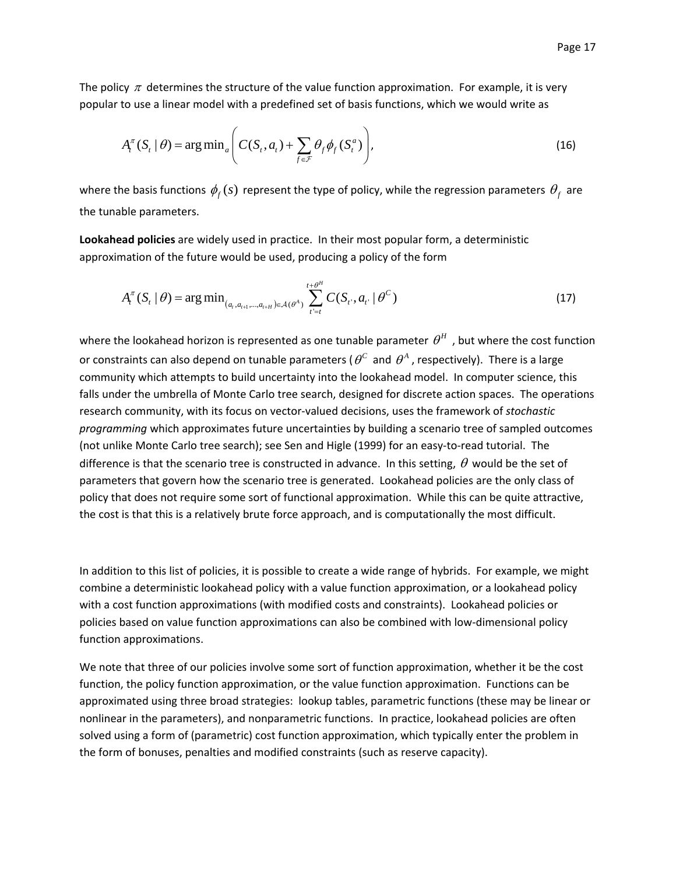The policy  $\pi$  determines the structure of the value function approximation. For example, it is very popular to use a linear model with a predefined set of basis functions, which we would write as

$$
A_t^{\pi}(S_t | \theta) = \arg \min_a \left( C(S_t, a_t) + \sum_{f \in \mathcal{F}} \theta_f \phi_f(S_t^a) \right), \tag{16}
$$

where the basis functions  $\phi_f(s)$  represent the type of policy, while the regression parameters  $\theta_f$  are the tunable parameters.

**Lookahead policies** are widely used in practice. In their most popular form, a deterministic approximation of the future would be used, producing a policy of the form

$$
A_t^{\pi}(S_t | \theta) = \arg\min_{(a_t, a_{t+1}, \dots, a_{t+H}) \in \mathcal{A}(\theta^A)} \sum_{t'=t}^{t+\theta^H} C(S_{t'}, a_{t'} | \theta^C)
$$
(17)

where the lookahead horizon is represented as one tunable parameter  $\theta^H$ , but where the cost function or constraints can also depend on tunable parameters ( $\theta^c$  and  $\theta^A$ , respectively). There is a large community which attempts to build uncertainty into the lookahead model. In computer science, this falls under the umbrella of Monte Carlo tree search, designed for discrete action spaces. The operations research community, with its focus on vector‐valued decisions, uses the framework of *stochastic programming* which approximates future uncertainties by building a scenario tree of sampled outcomes (not unlike Monte Carlo tree search); see Sen and Higle (1999) for an easy‐to‐read tutorial. The difference is that the scenario tree is constructed in advance. In this setting,  $\theta$  would be the set of parameters that govern how the scenario tree is generated. Lookahead policies are the only class of policy that does not require some sort of functional approximation. While this can be quite attractive, the cost is that this is a relatively brute force approach, and is computationally the most difficult.

In addition to this list of policies, it is possible to create a wide range of hybrids. For example, we might combine a deterministic lookahead policy with a value function approximation, or a lookahead policy with a cost function approximations (with modified costs and constraints). Lookahead policies or policies based on value function approximations can also be combined with low‐dimensional policy function approximations.

We note that three of our policies involve some sort of function approximation, whether it be the cost function, the policy function approximation, or the value function approximation. Functions can be approximated using three broad strategies: lookup tables, parametric functions (these may be linear or nonlinear in the parameters), and nonparametric functions. In practice, lookahead policies are often solved using a form of (parametric) cost function approximation, which typically enter the problem in the form of bonuses, penalties and modified constraints (such as reserve capacity).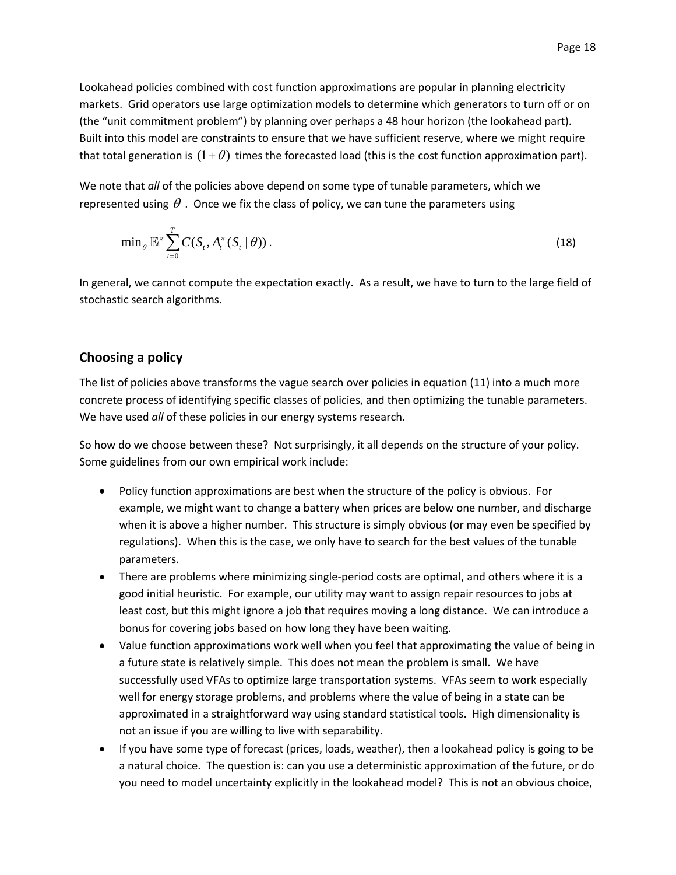Lookahead policies combined with cost function approximations are popular in planning electricity markets. Grid operators use large optimization models to determine which generators to turn off or on (the "unit commitment problem") by planning over perhaps a 48 hour horizon (the lookahead part). Built into this model are constraints to ensure that we have sufficient reserve, where we might require that total generation is  $(1 + \theta)$  times the forecasted load (this is the cost function approximation part).

We note that *all* of the policies above depend on some type of tunable parameters, which we represented using  $\theta$ . Once we fix the class of policy, we can tune the parameters using

$$
\min_{\theta} \mathbb{E}^{\pi} \sum_{t=0}^{T} C(S_t, A_t^{\pi}(S_t | \theta)). \tag{18}
$$

In general, we cannot compute the expectation exactly. As a result, we have to turn to the large field of stochastic search algorithms.

### **Choosing a policy**

The list of policies above transforms the vague search over policies in equation (11) into a much more concrete process of identifying specific classes of policies, and then optimizing the tunable parameters. We have used *all* of these policies in our energy systems research.

So how do we choose between these? Not surprisingly, it all depends on the structure of your policy. Some guidelines from our own empirical work include:

- Policy function approximations are best when the structure of the policy is obvious. For example, we might want to change a battery when prices are below one number, and discharge when it is above a higher number. This structure is simply obvious (or may even be specified by regulations). When this is the case, we only have to search for the best values of the tunable parameters.
- There are problems where minimizing single-period costs are optimal, and others where it is a good initial heuristic. For example, our utility may want to assign repair resources to jobs at least cost, but this might ignore a job that requires moving a long distance. We can introduce a bonus for covering jobs based on how long they have been waiting.
- Value function approximations work well when you feel that approximating the value of being in a future state is relatively simple. This does not mean the problem is small. We have successfully used VFAs to optimize large transportation systems. VFAs seem to work especially well for energy storage problems, and problems where the value of being in a state can be approximated in a straightforward way using standard statistical tools. High dimensionality is not an issue if you are willing to live with separability.
- $\bullet$  If you have some type of forecast (prices, loads, weather), then a lookahead policy is going to be a natural choice. The question is: can you use a deterministic approximation of the future, or do you need to model uncertainty explicitly in the lookahead model? This is not an obvious choice,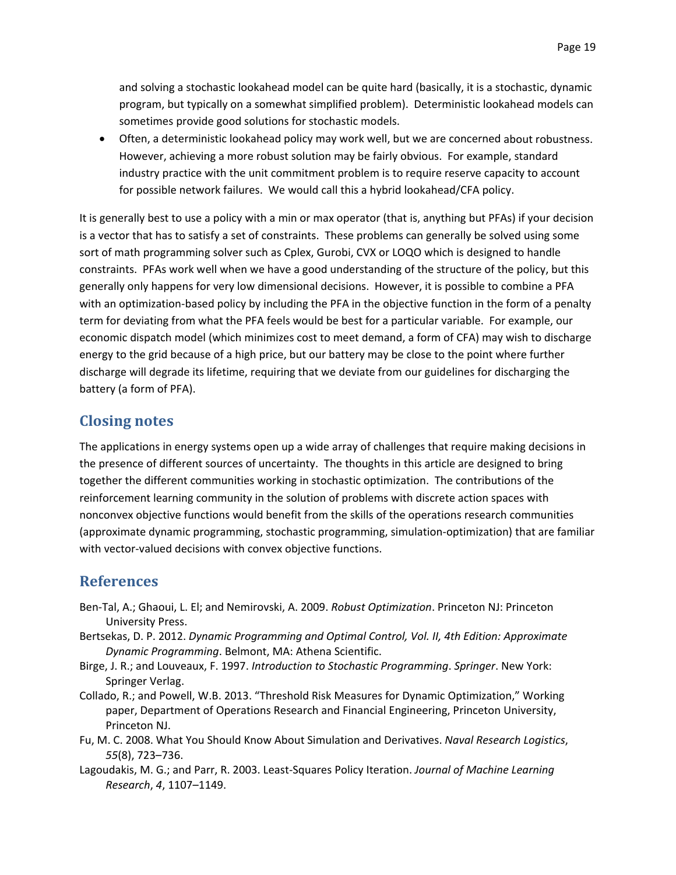and solving a stochastic lookahead model can be quite hard (basically, it is a stochastic, dynamic program, but typically on a somewhat simplified problem). Deterministic lookahead models can sometimes provide good solutions for stochastic models.

 Often, a deterministic lookahead policy may work well, but we are concerned about robustness. However, achieving a more robust solution may be fairly obvious. For example, standard industry practice with the unit commitment problem is to require reserve capacity to account for possible network failures. We would call this a hybrid lookahead/CFA policy.

It is generally best to use a policy with a min or max operator (that is, anything but PFAs) if your decision is a vector that has to satisfy a set of constraints. These problems can generally be solved using some sort of math programming solver such as Cplex, Gurobi, CVX or LOQO which is designed to handle constraints. PFAs work well when we have a good understanding of the structure of the policy, but this generally only happens for very low dimensional decisions. However, it is possible to combine a PFA with an optimization-based policy by including the PFA in the objective function in the form of a penalty term for deviating from what the PFA feels would be best for a particular variable. For example, our economic dispatch model (which minimizes cost to meet demand, a form of CFA) may wish to discharge energy to the grid because of a high price, but our battery may be close to the point where further discharge will degrade its lifetime, requiring that we deviate from our guidelines for discharging the battery (a form of PFA).

# **Closing notes**

The applications in energy systems open up a wide array of challenges that require making decisions in the presence of different sources of uncertainty. The thoughts in this article are designed to bring together the different communities working in stochastic optimization. The contributions of the reinforcement learning community in the solution of problems with discrete action spaces with nonconvex objective functions would benefit from the skills of the operations research communities (approximate dynamic programming, stochastic programming, simulation‐optimization) that are familiar with vector-valued decisions with convex objective functions.

# **References**

- Ben‐Tal, A.; Ghaoui, L. El; and Nemirovski, A. 2009. *Robust Optimization*. Princeton NJ: Princeton University Press.
- Bertsekas, D. P. 2012. *Dynamic Programming and Optimal Control, Vol. II, 4th Edition: Approximate Dynamic Programming*. Belmont, MA: Athena Scientific.
- Birge, J. R.; and Louveaux, F. 1997. *Introduction to Stochastic Programming*. *Springer*. New York: Springer Verlag.
- Collado, R.; and Powell, W.B. 2013. "Threshold Risk Measures for Dynamic Optimization," Working paper, Department of Operations Research and Financial Engineering, Princeton University, Princeton NJ.
- Fu, M. C. 2008. What You Should Know About Simulation and Derivatives. *Naval Research Logistics*, *55*(8), 723–736.
- Lagoudakis, M. G.; and Parr, R. 2003. Least‐Squares Policy Iteration. *Journal of Machine Learning Research*, *4*, 1107–1149.